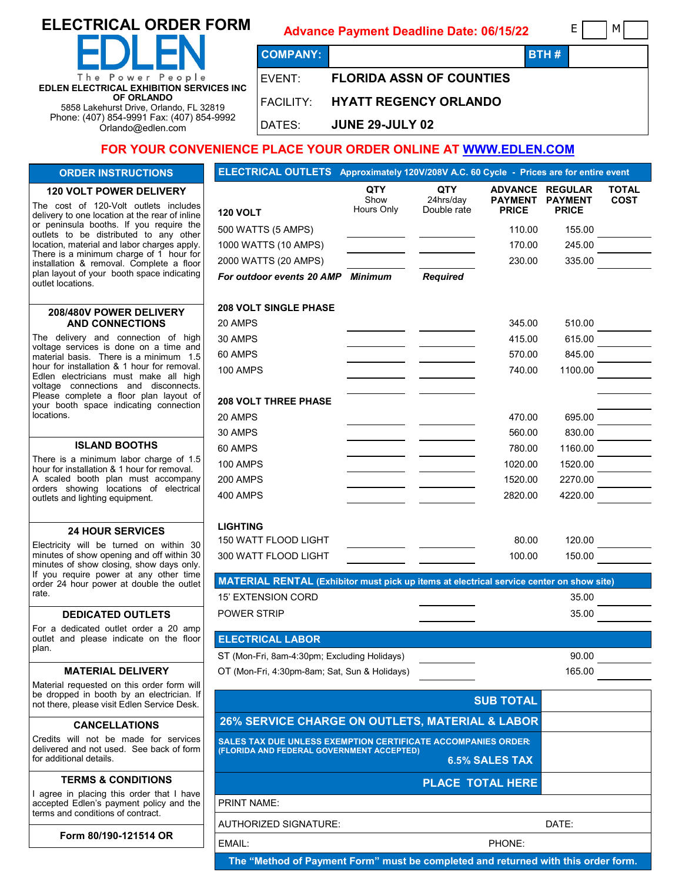# **ELECTRICAL ORDER FORM**

# **Advance Payment Deadline Date: 06/15/22** E M

**COMPANY: BTH #** The Power People **EDLEN ELECTRICAL EXHIBITION SERVICES INC OF ORLANDO** 5858 Lakehurst Drive, Orlando, FL 32819 Phone: (407) 854-9991 Fax: (407) 854-9992 Orlando@edlen.com

# EVENT: **FLORIDA ASSN OF COUNTIES**  FACILITY: **HYATT REGENCY ORLANDO**

DATES: **JUNE 29-JULY 02**

# **FOR YOUR CONVENIENCE PLACE YOUR ORDER ONLINE AT [WWW.EDLEN.COM](https://ordering.edlen.com/)**

#### **ORDER INSTRUCTIONS**

#### **120 VOLT POWER DELIVERY**

The cost of 120-Volt outlets includes delivery to one location at the rear of inline or peninsula booths. If you require the outlets to be distributed to any other location, material and labor charges apply. There is a minimum charge of 1 hour for installation & removal. Complete a floor plan layout of your booth space indicating outlet locations.

#### **208/480V POWER DELIVERY AND CONNECTIONS**

The delivery and connection of high voltage services is done on a time and material basis. There is a minimum 1.5 hour for installation & 1 hour for removal. Edlen electricians must make all high voltage connections and disconnects. Please complete a floor plan layout of your booth space indicating connection locations.

#### **ISLAND BOOTHS**

There is a minimum labor charge of 1.5 hour for installation & 1 hour for removal. A scaled booth plan must accompany orders showing locations of electrical outlets and lighting equipment.

#### **24 HOUR SERVICES**

Electricity will be turned on within 30 minutes of show opening and off within 30 minutes of show closing, show days only. If you require power at any other time order 24 hour power at double the outlet rate.

#### **DEDICATED OUTLETS**

For a dedicated outlet order a 20 amp outlet and please indicate on the floor plan.

#### **MATERIAL DELIVERY**

Material requested on this order form will be dropped in booth by an electrician. If not there, please visit Edlen Service Desk.

#### **CANCELLATIONS**

Credits will not be made for services delivered and not used. See back of form for additional details.

#### **TERMS & CONDITIONS**

I agree in placing this order that I have accepted Edlen's payment policy and the terms and conditions of contract.

**Form 80/190-121514 OR**

| <b>ELECTRICAL OUTLETS</b>                                                                                  |                           | Approximately 120V/208V A.C. 60 Cycle - Prices are for entire event |                                                  |                                                  |                      |
|------------------------------------------------------------------------------------------------------------|---------------------------|---------------------------------------------------------------------|--------------------------------------------------|--------------------------------------------------|----------------------|
|                                                                                                            | QTY<br>Show<br>Hours Only | QTY<br>24hrs/day<br>Double rate                                     | <b>ADVANCE</b><br><b>PAYMENT</b><br><b>PRICE</b> | <b>REGULAR</b><br><b>PAYMENT</b><br><b>PRICE</b> | TOTAL<br><b>COST</b> |
| <b>120 VOLT</b>                                                                                            |                           |                                                                     |                                                  |                                                  |                      |
| 500 WATTS (5 AMPS)                                                                                         |                           |                                                                     | 110.00                                           | 155.00                                           |                      |
| 1000 WATTS (10 AMPS)                                                                                       |                           |                                                                     | 170.00                                           | 245.00                                           |                      |
| 2000 WATTS (20 AMPS)                                                                                       |                           |                                                                     | 230.00                                           | 335.00                                           |                      |
| For outdoor events 20 AMP                                                                                  | <b>Minimum</b>            | <b>Required</b>                                                     |                                                  |                                                  |                      |
| <b>208 VOLT SINGLE PHASE</b>                                                                               |                           |                                                                     |                                                  |                                                  |                      |
| 20 AMPS                                                                                                    |                           |                                                                     | 345.00                                           | 510.00                                           |                      |
| 30 AMPS                                                                                                    |                           |                                                                     | 415.00                                           | 615.00                                           |                      |
| 60 AMPS                                                                                                    |                           |                                                                     | 570.00                                           | 845.00                                           |                      |
| <b>100 AMPS</b>                                                                                            |                           |                                                                     | 740.00                                           | 1100.00                                          |                      |
| <b>208 VOLT THREE PHASE</b>                                                                                |                           |                                                                     |                                                  |                                                  |                      |
| 20 AMPS                                                                                                    |                           |                                                                     | 470.00                                           | 695.00                                           |                      |
| 30 AMPS                                                                                                    |                           |                                                                     | 560.00                                           | 830.00                                           |                      |
| 60 AMPS                                                                                                    |                           |                                                                     | 780.00                                           | 1160.00                                          |                      |
| <b>100 AMPS</b>                                                                                            |                           |                                                                     | 1020.00                                          | 1520.00                                          |                      |
| <b>200 AMPS</b>                                                                                            |                           |                                                                     | 1520.00                                          | 2270.00                                          |                      |
| 400 AMPS                                                                                                   |                           |                                                                     | 2820.00                                          | 4220.00                                          |                      |
| <b>LIGHTING</b>                                                                                            |                           |                                                                     |                                                  |                                                  |                      |
| 150 WATT FLOOD LIGHT                                                                                       |                           |                                                                     | 80.00                                            | 120.00                                           |                      |
| 300 WATT FLOOD LIGHT                                                                                       |                           |                                                                     | 100.00                                           | 150.00                                           |                      |
| MATERIAL RENTAL (Exhibitor must pick up items at electrical service center on show site)                   |                           |                                                                     |                                                  |                                                  |                      |
| <b>15' EXTENSION CORD</b>                                                                                  |                           |                                                                     |                                                  | 35.00                                            |                      |
| <b>POWER STRIP</b>                                                                                         |                           |                                                                     |                                                  | 35.00                                            |                      |
| <b>ELECTRICAL LABOR</b>                                                                                    |                           |                                                                     |                                                  |                                                  |                      |
| ST (Mon-Fri, 8am-4:30pm; Excluding Holidays)                                                               |                           |                                                                     |                                                  | 90.00                                            |                      |
| OT (Mon-Fri, 4:30pm-8am; Sat, Sun & Holidays)                                                              |                           |                                                                     |                                                  | 165.00                                           |                      |
|                                                                                                            |                           |                                                                     | <b>SUB TOTAL</b>                                 |                                                  |                      |
| 26% SERVICE CHARGE ON OUTLETS, MATERIAL & LABOR                                                            |                           |                                                                     |                                                  |                                                  |                      |
| SALES TAX DUE UNLESS EXEMPTION CERTIFICATE ACCOMPANIES ORDER:<br>(FLORIDA AND FEDERAL GOVERNMENT ACCEPTED) |                           |                                                                     | <b>6.5% SALES TAX</b>                            |                                                  |                      |
|                                                                                                            |                           |                                                                     | PLACE TOTAL HERE                                 |                                                  |                      |
| <b>PRINT NAME:</b>                                                                                         |                           |                                                                     |                                                  |                                                  |                      |
| AUTHORIZED SIGNATURE:                                                                                      |                           |                                                                     |                                                  | DATE:                                            |                      |
| EMAIL:                                                                                                     |                           |                                                                     | PHONE:                                           |                                                  |                      |

**The "Method of Payment Form" must be completed and returned with this order form.**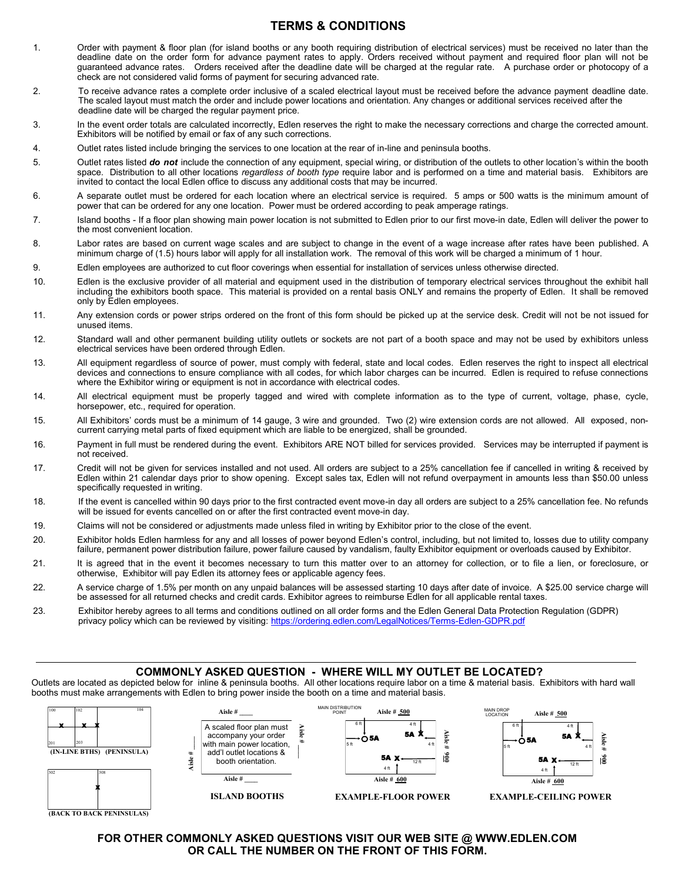## **TERMS & CONDITIONS**

- 1. Order with payment & floor plan (for island booths or any booth requiring distribution of electrical services) must be received no later than the deadline date on the order form for advance payment rates to apply. Orders received without payment and required floor plan will not be guaranteed advance rates. Orders received after the deadline date will be charged at the regular rate. A purchase order or photocopy of a check are not considered valid forms of payment for securing advanced rate.
- 2. To receive advance rates a complete order inclusive of a scaled electrical layout must be received before the advance payment deadline date. The scaled layout must match the order and include power locations and orientation. Any changes or additional services received after the deadline date will be charged the regular payment price.
- 3. In the event order totals are calculated incorrectly, Edlen reserves the right to make the necessary corrections and charge the corrected amount. Exhibitors will be notified by email or fax of any such corrections.
- 4. Outlet rates listed include bringing the services to one location at the rear of in-line and peninsula booths.
- 5. Outlet rates listed *do not* include the connection of any equipment, special wiring, or distribution of the outlets to other location's within the booth space. Distribution to all other locations *regardless of booth type* require labor and is performed on a time and material basis. Exhibitors are invited to contact the local Edlen office to discuss any additional costs that may be incurred.
- 6. A separate outlet must be ordered for each location where an electrical service is required. 5 amps or 500 watts is the minimum amount of power that can be ordered for any one location. Power must be ordered according to peak amperage ratings.
- 7. Island booths If a floor plan showing main power location is not submitted to Edlen prior to our first move-in date, Edlen will deliver the power to the most convenient location.
- 8. Labor rates are based on current wage scales and are subject to change in the event of a wage increase after rates have been published. A minimum charge of (1.5) hours labor will apply for all installation work. The removal of this work will be charged a minimum of 1 hour.
- 9. Edlen employees are authorized to cut floor coverings when essential for installation of services unless otherwise directed.
- 10. Edlen is the exclusive provider of all material and equipment used in the distribution of temporary electrical services throughout the exhibit hall including the exhibitors booth space. This material is provided on a rental basis ONLY and remains the property of Edlen. It shall be removed only by Edlen employees.
- 11. Any extension cords or power strips ordered on the front of this form should be picked up at the service desk. Credit will not be not issued for unused items.
- 12. Standard wall and other permanent building utility outlets or sockets are not part of a booth space and may not be used by exhibitors unless electrical services have been ordered through Edlen.
- 13. All equipment regardless of source of power, must comply with federal, state and local codes. Edlen reserves the right to inspect all electrical devices and connections to ensure compliance with all codes, for which labor charges can be incurred. Edlen is required to refuse connections where the Exhibitor wiring or equipment is not in accordance with electrical codes.
- 14. All electrical equipment must be properly tagged and wired with complete information as to the type of current, voltage, phase, cycle, horsepower, etc., required for operation.
- 15. All Exhibitors' cords must be a minimum of 14 gauge, 3 wire and grounded. Two (2) wire extension cords are not allowed. All exposed, noncurrent carrying metal parts of fixed equipment which are liable to be energized, shall be grounded.
- 16. Payment in full must be rendered during the event. Exhibitors ARE NOT billed for services provided. Services may be interrupted if payment is not received.
- 17. Credit will not be given for services installed and not used. All orders are subject to a 25% cancellation fee if cancelled in writing & received by Edlen within 21 calendar days prior to show opening. Except sales tax, Edlen will not refund overpayment in amounts less than \$50.00 unless specifically requested in writing.
- 18. If the event is cancelled within 90 days prior to the first contracted event move-in day all orders are subject to a 25% cancellation fee. No refunds will be issued for events cancelled on or after the first contracted event move-in day.
- 19. Claims will not be considered or adjustments made unless filed in writing by Exhibitor prior to the close of the event.
- 20. Exhibitor holds Edlen harmless for any and all losses of power beyond Edlen's control, including, but not limited to, losses due to utility company failure, permanent power distribution failure, power failure caused by vandalism, faulty Exhibitor equipment or overloads caused by Exhibitor.
- 21. It is agreed that in the event it becomes necessary to turn this matter over to an attorney for collection, or to file a lien, or foreclosure, or otherwise, Exhibitor will pay Edlen its attorney fees or applicable agency fees.
- 22. A service charge of 1.5% per month on any unpaid balances will be assessed starting 10 days after date of invoice. A \$25.00 service charge will be assessed for all returned checks and credit cards. Exhibitor agrees to reimburse Edlen for all applicable rental taxes.
- 23. Exhibitor hereby agrees to all terms and conditions outlined on all order forms and the Edlen General Data Protection Regulation (GDPR) privacy policy which can be reviewed by visiting: [https://ordering.edlen.com/LegalNotices/Terms](https://ordering.edlen.com/LegalNotices/Terms-Edlen-GDPR.pdf)-Edlen-GDPR.pdf

#### **COMMONLY ASKED QUESTION - WHERE WILL MY OUTLET BE LOCATED?**

Outlets are located as depicted below for inline & peninsula booths. All other locations require labor on a time & material basis. Exhibitors with hard wall booths must make arrangements with Edlen to bring power inside the booth on a time and material basis.



**FOR OTHER COMMONLY ASKED QUESTIONS VISIT OUR WEB SITE @ WWW.EDLEN.COM OR CALL THE NUMBER ON THE FRONT OF THIS FORM.**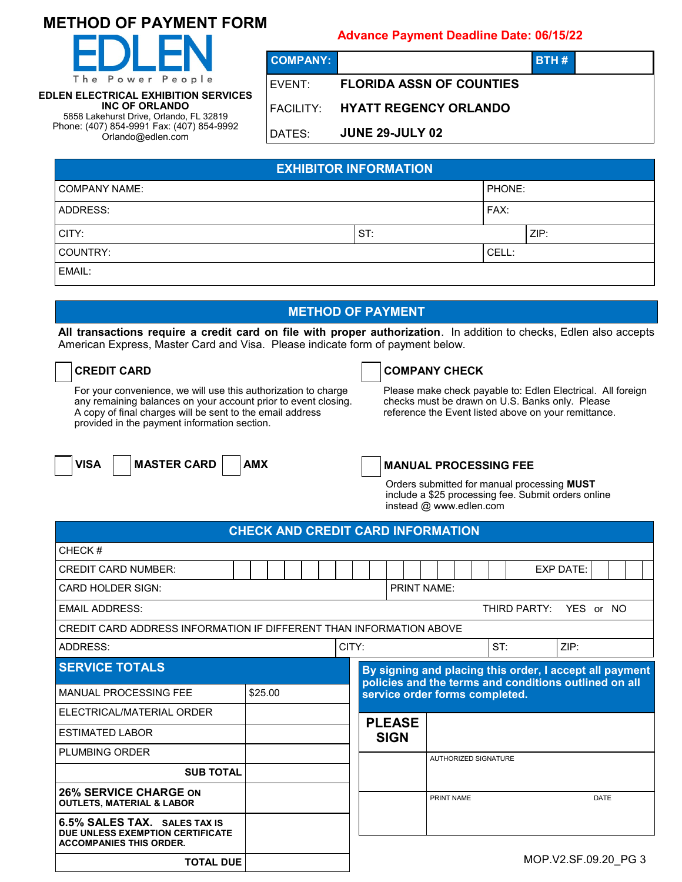# **METHOD OF PAYMENT FORM**



**EDLEN ELECTRICAL EXHIBITION SERVICES INC OF ORLANDO** 5858 Lakehurst Drive, Orlando, FL 32819 Phone: (407) 854-9991 Fax: (407) 854-9992 Orlando@edlen.com

# **Advance Payment Deadline Date: 06/15/22**

**COMPANY: BTH #**

# EVENT: **FLORIDA ASSN OF COUNTIES**

# FACILITY: **HYATT REGENCY ORLANDO**

# DATES: **JUNE 29-JULY 02**

| <b>EXHIBITOR INFORMATION</b> |     |        |      |  |  |  |  |  |  |  |  |
|------------------------------|-----|--------|------|--|--|--|--|--|--|--|--|
| COMPANY NAME:                |     | PHONE: |      |  |  |  |  |  |  |  |  |
| ADDRESS:                     |     | FAX:   |      |  |  |  |  |  |  |  |  |
| CITY:                        | ST: |        | ZIP: |  |  |  |  |  |  |  |  |
| COUNTRY:                     |     | CELL:  |      |  |  |  |  |  |  |  |  |
| EMAIL:                       |     |        |      |  |  |  |  |  |  |  |  |

# **METHOD OF PAYMENT**

**All transactions require a credit card on file with proper authorization**. In addition to checks, Edlen also accepts American Express, Master Card and Visa. Please indicate form of payment below.

For your convenience, we will use this authorization to charge any remaining balances on your account prior to event closing. A copy of final charges will be sent to the email address provided in the payment information section.

# **CREDIT CARD COMPANY CHECK**

Please make check payable to: Edlen Electrical. All foreign checks must be drawn on U.S. Banks only. Please reference the Event listed above on your remittance.

**VISA** | **MASTER CARD** | **AMX** 

# **MANUAL PROCESSING FEE**

Orders submitted for manual processing **MUST**  include a \$25 processing fee. Submit orders online instead @ www.edlen.com

#### **CHECK AND CREDIT CARD INFORMATION**

| CHECK#                                                                                             |         |       |  |  |  |  |  |                        |                                                                                                                  |      |            |  |                             |  |                      |             |  |
|----------------------------------------------------------------------------------------------------|---------|-------|--|--|--|--|--|------------------------|------------------------------------------------------------------------------------------------------------------|------|------------|--|-----------------------------|--|----------------------|-------------|--|
| <b>CREDIT CARD NUMBER:</b>                                                                         |         |       |  |  |  |  |  |                        |                                                                                                                  |      |            |  |                             |  | <b>EXP DATE:</b>     |             |  |
| <b>CARD HOLDER SIGN:</b>                                                                           |         |       |  |  |  |  |  |                        | <b>PRINT NAME:</b>                                                                                               |      |            |  |                             |  |                      |             |  |
| <b>EMAIL ADDRESS:</b>                                                                              |         |       |  |  |  |  |  | THIRD PARTY: YES or NO |                                                                                                                  |      |            |  |                             |  |                      |             |  |
| CREDIT CARD ADDRESS INFORMATION IF DIFFERENT THAN INFORMATION ABOVE                                |         |       |  |  |  |  |  |                        |                                                                                                                  |      |            |  |                             |  |                      |             |  |
| ADDRESS:                                                                                           |         | CITY: |  |  |  |  |  | ST:                    |                                                                                                                  | ZIP: |            |  |                             |  |                      |             |  |
| <b>SERVICE TOTALS</b>                                                                              |         |       |  |  |  |  |  |                        | By signing and placing this order, I accept all payment<br>policies and the terms and conditions outlined on all |      |            |  |                             |  |                      |             |  |
| <b>MANUAL PROCESSING FEE</b>                                                                       | \$25.00 |       |  |  |  |  |  |                        | service order forms completed.                                                                                   |      |            |  |                             |  |                      |             |  |
| ELECTRICAL/MATERIAL ORDER                                                                          |         |       |  |  |  |  |  |                        | <b>PLEASE</b>                                                                                                    |      |            |  |                             |  |                      |             |  |
| <b>ESTIMATED LABOR</b>                                                                             |         |       |  |  |  |  |  |                        | <b>SIGN</b>                                                                                                      |      |            |  |                             |  |                      |             |  |
| <b>PLUMBING ORDER</b>                                                                              |         |       |  |  |  |  |  |                        |                                                                                                                  |      |            |  | <b>AUTHORIZED SIGNATURE</b> |  |                      |             |  |
| <b>SUB TOTAL</b>                                                                                   |         |       |  |  |  |  |  |                        |                                                                                                                  |      |            |  |                             |  |                      |             |  |
| <b>26% SERVICE CHARGE ON</b><br><b>OUTLETS, MATERIAL &amp; LABOR</b>                               |         |       |  |  |  |  |  |                        |                                                                                                                  |      | PRINT NAME |  |                             |  |                      | <b>DATE</b> |  |
| 6.5% SALES TAX. SALES TAX IS<br>DUE UNLESS EXEMPTION CERTIFICATE<br><b>ACCOMPANIES THIS ORDER.</b> |         |       |  |  |  |  |  |                        |                                                                                                                  |      |            |  |                             |  |                      |             |  |
| <b>TOTAL DUE</b>                                                                                   |         |       |  |  |  |  |  |                        |                                                                                                                  |      |            |  |                             |  | MOP.V2.SF.09.20 PG 3 |             |  |